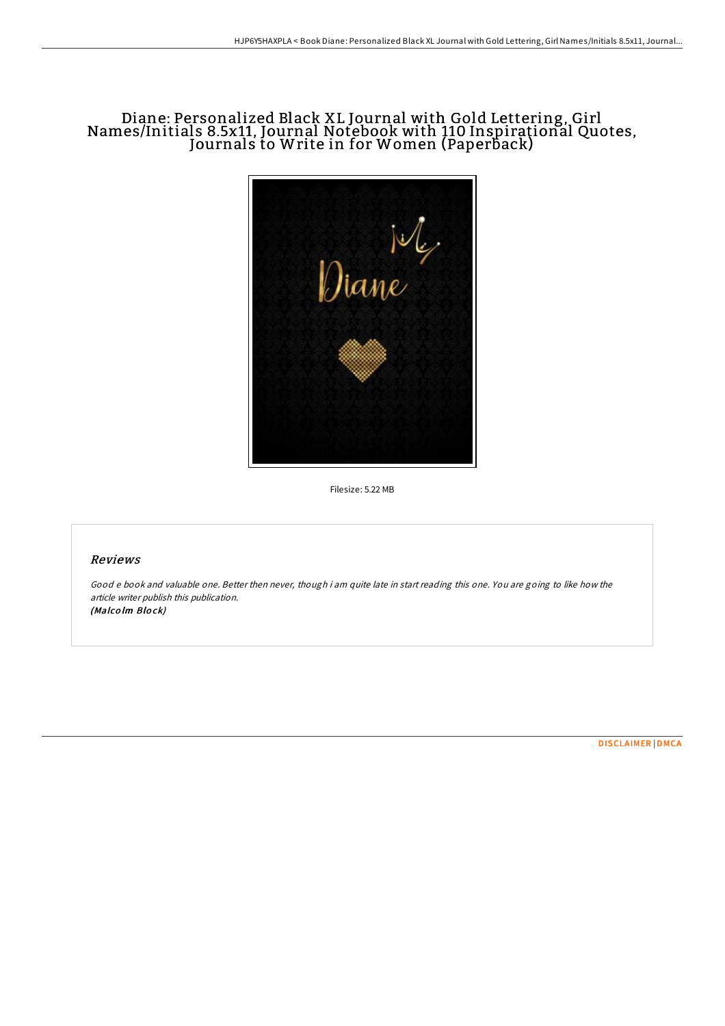# Diane: Personalized Black XL Journal with Gold Lettering, Girl Names/Initials 8.5x11, Journal Notebook with 110 Inspirational Quotes, Journals to Write in for Women (Paperback)



Filesize: 5.22 MB

## Reviews

Good <sup>e</sup> book and valuable one. Better then never, though i am quite late in start reading this one. You are going to like how the article writer publish this publication. (Malcolm Block)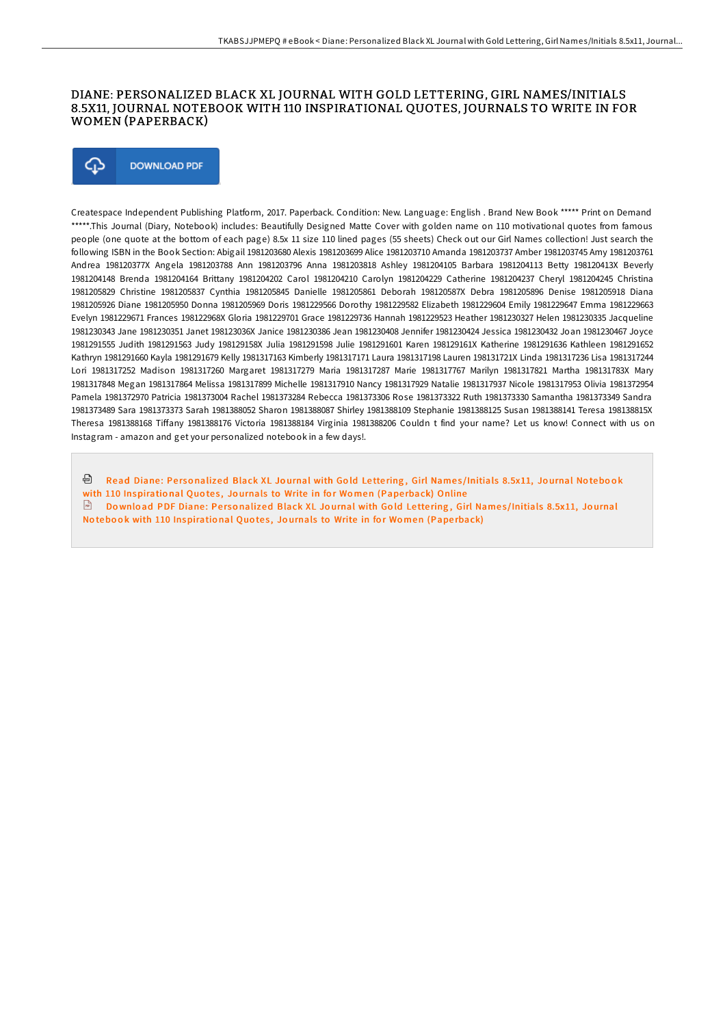#### DIANE: PERSONALIZED BLACK XL JOURNAL WITH GOLD LETTERING, GIRL NAMES/INITIALS 8.5X11, JOURNAL NOTEBOOK WITH 110 INSPIRATIONAL QUOTES, JOURNALS TO WRITE IN FOR WOMEN (PAPERBACK)



Createspace Independent Publishing Platform, 2017. Paperback. Condition: New. Language: English . Brand New Book \*\*\*\*\* Print on Demand \*\*\*\*\*.This Journal (Diary, Notebook) includes: Beautifully Designed Matte Cover with golden name on 110 motivational quotes from famous people (one quote at the bottom of each page) 8.5x 11 size 110 lined pages (55 sheets) Check out our Girl Names collection! Just search the following ISBN in the Book Section: Abigail 1981203680 Alexis 1981203699 Alice 1981203710 Amanda 1981203737 Amber 1981203745 Amy 1981203761 Andrea 198120377X Angela 1981203788 Ann 1981203796 Anna 1981203818 Ashley 1981204105 Barbara 1981204113 Betty 198120413X Beverly 1981204148 Brenda 1981204164 Brittany 1981204202 Carol 1981204210 Carolyn 1981204229 Catherine 1981204237 Cheryl 1981204245 Christina 1981205829 Christine 1981205837 Cynthia 1981205845 Danielle 1981205861 Deborah 198120587X Debra 1981205896 Denise 1981205918 Diana 1981205926 Diane 1981205950 Donna 1981205969 Doris 1981229566 Dorothy 1981229582 Elizabeth 1981229604 Emily 1981229647 Emma 1981229663 Evelyn 1981229671 Frances 198122968X Gloria 1981229701 Grace 1981229736 Hannah 1981229523 Heather 1981230327 Helen 1981230335 Jacqueline 1981230343 Jane 1981230351 Janet 198123036X Janice 1981230386 Jean 1981230408 Jennifer 1981230424 Jessica 1981230432 Joan 1981230467 Joyce 1981291555 Judith 1981291563 Judy 198129158X Julia 1981291598 Julie 1981291601 Karen 198129161X Katherine 1981291636 Kathleen 1981291652 Kathryn 1981291660 Kayla 1981291679 Kelly 1981317163 Kimberly 1981317171 Laura 1981317198 Lauren 198131721X Linda 1981317236 Lisa 1981317244 Lori 1981317252 Madison 1981317260 Margaret 1981317279 Maria 1981317287 Marie 1981317767 Marilyn 1981317821 Martha 198131783X Mary 1981317848 Megan 1981317864 Melissa 1981317899 Michelle 1981317910 Nancy 1981317929 Natalie 1981317937 Nicole 1981317953 Olivia 1981372954 Pamela 1981372970 Patricia 1981373004 Rachel 1981373284 Rebecca 1981373306 Rose 1981373322 Ruth 1981373330 Samantha 1981373349 Sandra 1981373489 Sara 1981373373 Sarah 1981388052 Sharon 1981388087 Shirley 1981388109 Stephanie 1981388125 Susan 1981388141 Teresa 198138815X Theresa 1981388168 TiFany 1981388176 Victoria 1981388184 Virginia 1981388206 Couldn t find your name? Let us know! Connect with us on Instagram - amazon and get your personalized notebook in a few days!.

ଈ Read Diane: Personalized Black XL Journal with Gold Lettering, Girl Names/Initials 8.5x11, Journal Notebook with 110 [Inspiratio](http://almighty24.tech/diane-personalized-black-xl-journal-with-gold-le.html)nal Quotes, Journals to Write in for Women (Paperback) Online  $\Box$  Download PDF Diane: Personalized Black XL Journal with Gold Lettering, Girl Names/Initials 8.5x11, Journal No tebook with 110 [Inspiratio](http://almighty24.tech/diane-personalized-black-xl-journal-with-gold-le.html)nal Quotes, Journals to Write in for Women (Paperback)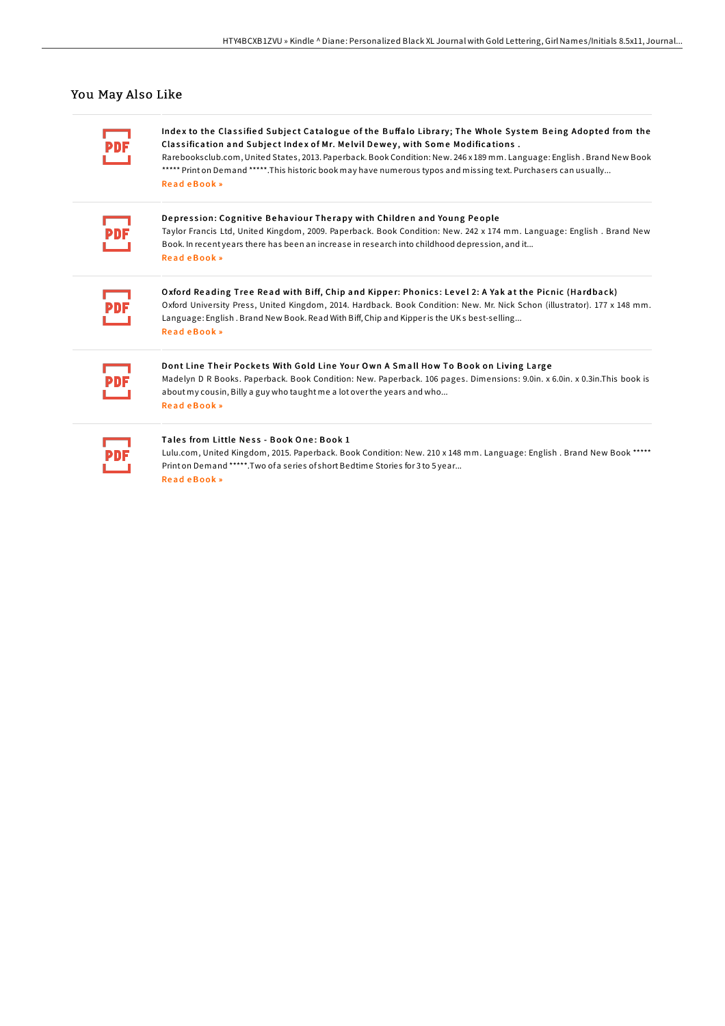### You May Also Like

Index to the Classified Subject Catalogue of the Buffalo Library; The Whole System Being Adopted from the Classification and Subject Index of Mr. Melvil Dewey, with Some Modifications.

Rarebooksclub.com, United States, 2013. Paperback. Book Condition: New. 246 x 189 mm. Language: English. Brand New Book \*\*\*\*\* Print on Demand \*\*\*\*\*. This historic book may have numerous typos and missing text. Purchasers can usually... Read eBook »

Depression: Cognitive Behaviour Therapy with Children and Young People Taylor Francis Ltd, United Kingdom, 2009. Paperback. Book Condition: New. 242 x 174 mm. Language: English . Brand New Book. In recent years there has been an increase in research into childhood depression, and it... ReadeBook»

Oxford Reading Tree Read with Biff, Chip and Kipper: Phonics: Level 2: A Yak at the Picnic (Hardback) Oxford University Press, United Kingdom, 2014. Hardback. Book Condition: New. Mr. Nick Schon (illustrator). 177 x 148 mm. Language: English. Brand New Book. Read With Biff, Chip and Kipper is the UKs best-selling... Read eBook »

Dont Line Their Pockets With Gold Line Your Own A Small How To Book on Living Large Madelyn D R Books. Paperback. Book Condition: New. Paperback. 106 pages. Dimensions: 9.0in. x 6.0in. x 0.3in.This book is about my cousin, Billy a guy who taught me a lot over the years and who... ReadeBook»

#### Tales from Little Ness - Book One: Book 1

Lulu.com, United Kingdom, 2015. Paperback. Book Condition: New. 210 x 148 mm. Language: English. Brand New Book \*\*\*\*\* Print on Demand \*\*\*\*\*. Two of a series of short Bedtime Stories for 3 to 5 year... ReadeBook »